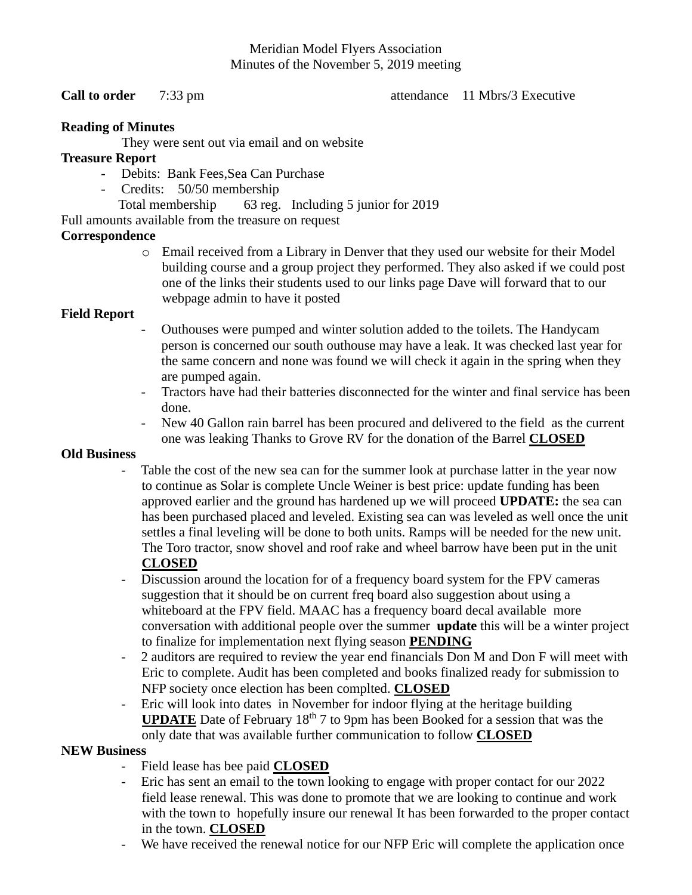#### Meridian Model Flyers Association Minutes of the November 5, 2019 meeting

**Call to order** 7:33 pm **b** attendance 11 Mbrs/3 Executive

### **Reading of Minutes**

They were sent out via email and on website

### **Treasure Report**

- Debits: Bank Fees,Sea Can Purchase
- Credits: 50/50 membership

Total membership 63 reg. Including 5 junior for 2019

Full amounts available from the treasure on request

# **Correspondence**

o Email received from a Library in Denver that they used our website for their Model building course and a group project they performed. They also asked if we could post one of the links their students used to our links page Dave will forward that to our webpage admin to have it posted

# **Field Report**

- Outhouses were pumped and winter solution added to the toilets. The Handycam person is concerned our south outhouse may have a leak. It was checked last year for the same concern and none was found we will check it again in the spring when they are pumped again.
- Tractors have had their batteries disconnected for the winter and final service has been done.
- New 40 Gallon rain barrel has been procured and delivered to the field as the current one was leaking Thanks to Grove RV for the donation of the Barrel **CLOSED**

### **Old Business**

- Table the cost of the new sea can for the summer look at purchase latter in the year now to continue as Solar is complete Uncle Weiner is best price: update funding has been approved earlier and the ground has hardened up we will proceed **UPDATE:** the sea can has been purchased placed and leveled. Existing sea can was leveled as well once the unit settles a final leveling will be done to both units. Ramps will be needed for the new unit. The Toro tractor, snow shovel and roof rake and wheel barrow have been put in the unit **CLOSED**
- Discussion around the location for of a frequency board system for the FPV cameras suggestion that it should be on current freq board also suggestion about using a whiteboard at the FPV field. MAAC has a frequency board decal available more conversation with additional people over the summer **update** this will be a winter project to finalize for implementation next flying season **PENDING**
- 2 auditors are required to review the year end financials Don M and Don F will meet with Eric to complete. Audit has been completed and books finalized ready for submission to NFP society once election has been complted. **CLOSED**
- Eric will look into dates in November for indoor flying at the heritage building **UPDATE** Date of February 18<sup>th</sup> 7 to 9pm has been Booked for a session that was the only date that was available further communication to follow **CLOSED**

### **NEW Business**

- Field lease has bee paid **CLOSED**
- Eric has sent an email to the town looking to engage with proper contact for our 2022 field lease renewal. This was done to promote that we are looking to continue and work with the town to hopefully insure our renewal It has been forwarded to the proper contact in the town. **CLOSED**
- We have received the renewal notice for our NFP Eric will complete the application once